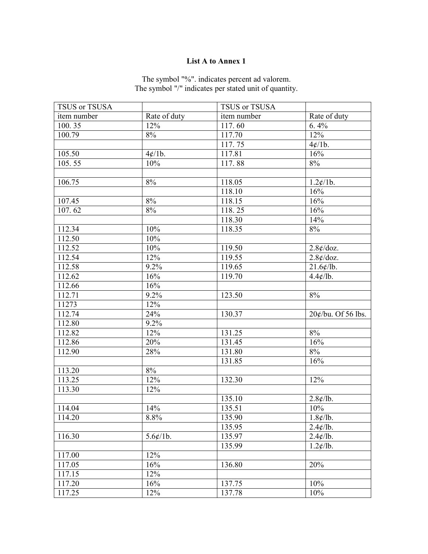## List A to Annex 1

| The symbol "%", indicates percent ad valorem.         |
|-------------------------------------------------------|
| The symbol "/" indicates per stated unit of quantity. |
|                                                       |

| TSUS or TSUSA       |              | TSUS or TSUSA |                              |
|---------------------|--------------|---------------|------------------------------|
| item number         | Rate of duty | item number   | Rate of duty                 |
| 100.35              | 12%          | 117.60        | 6.4%                         |
| 100.79              | 8%           | 117.70        | 12%                          |
|                     |              | 117.75        | 4¢/1b.                       |
| 105.50              | 4¢/1b.       | 117.81        | 16%                          |
| 105.55              | 10%          | 117.88        | 8%                           |
|                     |              |               |                              |
| 106.75              | 8%           | 118.05        | $1.2 \frac{\cancel{c}}{1}$ . |
|                     |              | 118.10        | 16%                          |
| 107.45              | 8%           | 118.15        | 16%                          |
| 107.62              | 8%           | 118.25        | 16%                          |
|                     |              | 118.30        | 14%                          |
| 112.34              | 10%          | 118.35        | 8%                           |
| 112.50              | 10%          |               |                              |
| 112.52              | 10%          | 119.50        | 2.8¢/doz.                    |
| 112.54              | 12%          | 119.55        | $2.8$ ¢/doz.                 |
| 112.58              | 9.2%         | 119.65        | $21.6$ ¢/lb.                 |
| 112.62              | 16%          | 119.70        | $4.4 \times$ /lb.            |
| 112.66              | 16%          |               |                              |
| 112.71              | 9.2%         | 123.50        | 8%                           |
| 11273               | 12%          |               |                              |
| 112.74              | 24%          | 130.37        | 20¢/bu. Of 56 lbs.           |
| 112.80              | 9.2%         |               |                              |
| 112.82              | 12%          | 131.25        | 8%                           |
| 112.86              | 20%          | 131.45        | 16%                          |
| 112.90              | 28%          | 131.80        | 8%                           |
|                     |              | 131.85        | 16%                          |
| 113.20              | 8%           |               |                              |
| 113.25              | 12%          | 132.30        | 12%                          |
| 113.30              | 12%          |               |                              |
|                     |              | 135.10        | $2.8 \times /1$ b.           |
| 114.04              | 14%          | 135.51        | 10%                          |
| 114.20              | 8.8%         | 135.90        | 1.8¢/lb.                     |
|                     |              | 135.95        | $2.4 \times 10.$             |
| $116.\overline{30}$ | $5.6$ ¢/1b.  | 135.97        | $2.4 \frac{\ell}{lb}$ .      |
|                     |              | 135.99        | $1.2 \frac{\ell}{lb}$ .      |
| 117.00              | 12%          |               |                              |
| 117.05              | 16%          | 136.80        | 20%                          |
| 117.15              | 12%          |               |                              |
| 117.20              | 16%          | 137.75        | 10%                          |
| 117.25              | 12%          | 137.78        | 10%                          |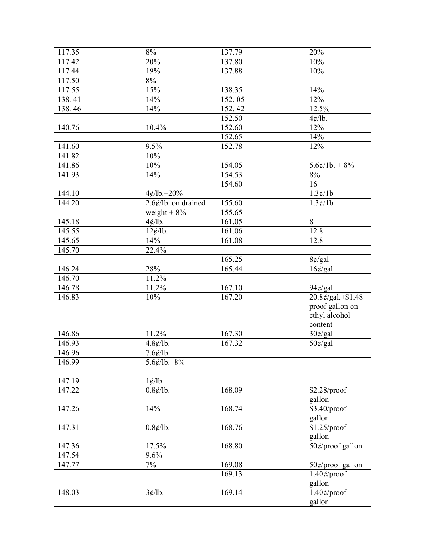| 117.35 | $8\%$                             | 137.79 | 20%                            |
|--------|-----------------------------------|--------|--------------------------------|
| 117.42 | 20%                               | 137.80 | 10%                            |
| 117.44 | 19%                               | 137.88 | 10%                            |
| 117.50 | $8\%$                             |        |                                |
| 117.55 | 15%                               | 138.35 | 14%                            |
| 138.41 | 14%                               | 152.05 | 12%                            |
| 138.46 | 14%                               | 152.42 | 12.5%                          |
|        |                                   | 152.50 | 4¢/lb.                         |
| 140.76 | 10.4%                             | 152.60 | 12%                            |
|        |                                   | 152.65 | 14%                            |
| 141.60 | 9.5%                              | 152.78 | 12%                            |
| 141.82 | 10%                               |        |                                |
| 141.86 | 10%                               | 154.05 | $5.6¢/1b. + 8%$                |
| 141.93 | 14%                               | 154.53 | $8\%$                          |
|        |                                   | 154.60 | 16                             |
| 144.10 | $4¢/1b.+20%$                      |        | 1.3¢/1b                        |
| 144.20 | $2.6$ ¢/lb. on drained            | 155.60 | 1.3¢/1b                        |
|        | weight $+8%$                      | 155.65 |                                |
| 145.18 | 4¢/lb.                            | 161.05 | 8                              |
| 145.55 | 12¢/lb.                           | 161.06 | 12.8                           |
| 145.65 | 14%                               | 161.08 | 12.8                           |
| 145.70 | 22.4%                             |        |                                |
|        |                                   | 165.25 | $8¢$ /gal                      |
| 146.24 | 28%                               | 165.44 | $16¢$ /gal                     |
| 146.70 | 11.2%                             |        |                                |
| 146.78 | 11.2%                             | 167.10 | $94¢$ /gal                     |
| 146.83 | 10%                               | 167.20 | $20.\overline{8¢/gal.+\$1.48}$ |
|        |                                   |        | proof gallon on                |
|        |                                   |        | ethyl alcohol                  |
|        |                                   |        | content                        |
| 146.86 | 11.2%                             | 167.30 | $30¢$ /gal                     |
| 146.93 | 4.8¢/lb.                          | 167.32 | $50¢$ /gal                     |
| 146.96 | $7.6$ ¢/lb.                       |        |                                |
| 146.99 | $5.6 \frac{\cancel{0}}{10} + 8\%$ |        |                                |
|        |                                   |        |                                |
| 147.19 | $1 \frac{\ell}{lb}$ .             |        |                                |
| 147.22 | $0.8 \frac{\cancel{c}}{lb}$ .     | 168.09 | $$2.28$ /proof                 |
|        |                                   |        | gallon                         |
| 147.26 | 14%                               | 168.74 | $$3.40$ /proof                 |
|        |                                   |        | gallon                         |
| 147.31 | $0.8 \notin$ /lb.                 | 168.76 | \$1.25/proof                   |
|        |                                   |        | gallon                         |
| 147.36 | 17.5%                             | 168.80 | 50¢/proof gallon               |
| 147.54 | 9.6%                              |        |                                |
| 147.77 | 7%                                | 169.08 | 50¢/proof gallon               |
|        |                                   | 169.13 | $1.40$ ¢/proof                 |
|        |                                   |        | gallon                         |
| 148.03 | 3¢/lb.                            | 169.14 | $1.40$ ¢/proof                 |
|        |                                   |        | gallon                         |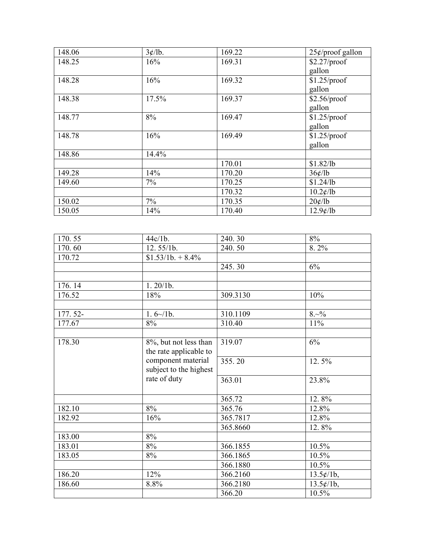| 148.06 | 3¢/lb. | 169.22 | $25¢$ /proof gallon    |
|--------|--------|--------|------------------------|
| 148.25 | 16%    | 169.31 | \$2.27/proof           |
|        |        |        | gallon                 |
| 148.28 | 16%    | 169.32 | $$1.25$ /proof         |
|        |        |        | gallon                 |
| 148.38 | 17.5%  | 169.37 | \$2.56/proof           |
|        |        |        | gallon                 |
| 148.77 | 8%     | 169.47 | $$1.25$ /proof         |
|        |        |        | gallon                 |
| 148.78 | 16%    | 169.49 | $$1.25$ /proof         |
|        |        |        | gallon                 |
| 148.86 | 14.4%  |        |                        |
|        |        | 170.01 | \$1.82/lb              |
| 149.28 | 14%    | 170.20 | 36¢/lb                 |
| 149.60 | 7%     | 170.25 | \$1.24/lb              |
|        |        | 170.32 | $10.2 \frac{\ell}{lb}$ |
| 150.02 | $7\%$  | 170.35 | 20¢/lb                 |
| 150.05 | 14%    | 170.40 | $12.9$ ¢/lb            |

| 170.55  | 44c/1b.                | 240.30   | $8\%$                        |
|---------|------------------------|----------|------------------------------|
| 170.60  | 12.55/1b.              | 240.50   | 8.2%                         |
| 170.72  | $$1.53/1b. + 8.4\%$    |          |                              |
|         |                        | 245.30   | 6%                           |
|         |                        |          |                              |
| 176.14  | 1.20/1b.               |          |                              |
| 176.52  | 18%                    | 309.3130 | 10%                          |
|         |                        |          |                              |
| 177.52- | $1.6 \times 10.$       | 310.1109 | $8.~\!\!\sim\!\!9\!/\!\!\!o$ |
| 177.67  | 8%                     | 310.40   | 11%                          |
|         |                        |          |                              |
| 178.30  | 8%, but not less than  | 319.07   | 6%                           |
|         | the rate applicable to |          |                              |
|         | component material     | 355.20   | 12.5%                        |
|         | subject to the highest |          |                              |
|         | rate of duty           | 363.01   | 23.8%                        |
|         |                        |          |                              |
|         |                        | 365.72   | 12.8%                        |
| 182.10  | 8%                     | 365.76   | 12.8%                        |
| 182.92  | 16%                    | 365.7817 | 12.8%                        |
|         |                        | 365.8660 | 12.8%                        |
| 183.00  | $8\%$                  |          |                              |
| 183.01  | 8%                     | 366.1855 | 10.5%                        |
| 183.05  | 8%                     | 366.1865 | $10.5\%$                     |
|         |                        | 366.1880 | 10.5%                        |
| 186.20  | 12%                    | 366.2160 | 13.5¢/1b,                    |
| 186.60  | 8.8%                   | 366.2180 | 13.5¢/1b,                    |
|         |                        | 366.20   | 10.5%                        |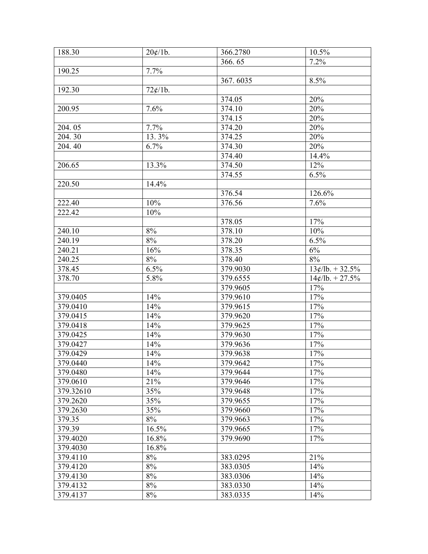| 188.30    | 20¢/1b. | 366.2780 | 10.5%             |
|-----------|---------|----------|-------------------|
|           |         | 366.65   | 7.2%              |
| 190.25    | 7.7%    |          |                   |
|           |         | 367.6035 | 8.5%              |
| 192.30    | 72¢/1b. |          |                   |
|           |         | 374.05   | 20%               |
| 200.95    | 7.6%    | 374.10   | 20%               |
|           |         | 374.15   | 20%               |
| 204.05    | 7.7%    | 374.20   | 20%               |
| 204.30    | 13.3%   | 374.25   | 20%               |
| 204.40    | 6.7%    | 374.30   | 20%               |
|           |         | 374.40   | 14.4%             |
| 206.65    | 13.3%   | 374.50   | 12%               |
|           |         | 374.55   | 6.5%              |
| 220.50    | 14.4%   |          |                   |
|           |         | 376.54   | 126.6%            |
| 222.40    | 10%     | 376.56   | 7.6%              |
| 222.42    | 10%     |          |                   |
|           |         | 378.05   | 17%               |
| 240.10    | 8%      | 378.10   | 10%               |
| 240.19    | 8%      | 378.20   | 6.5%              |
| 240.21    | 16%     | 378.35   | $6\%$             |
| 240.25    | 8%      | 378.40   | 8%                |
| 378.45    | 6.5%    | 379.9030 | $13¢/lb. + 32.5%$ |
| 378.70    | 5.8%    | 379.6555 | $14¢/lb. + 27.5%$ |
|           |         | 379.9605 | 17%               |
| 379.0405  | 14%     | 379.9610 | 17%               |
| 379.0410  | 14%     | 379.9615 | $17\%$            |
| 379.0415  | 14%     | 379.9620 | 17%               |
| 379.0418  | 14%     | 379.9625 | 17%               |
| 379.0425  | 14%     | 379.9630 | 17%               |
| 379.0427  | 14%     | 379.9636 | 17%               |
| 379.0429  | 14%     | 379.9638 | 17%               |
| 379.0440  | 14%     | 379.9642 | 17%               |
| 379.0480  | 14%     | 379.9644 | 17%               |
| 379.0610  | 21%     | 379.9646 | 17%               |
| 379.32610 | 35%     | 379.9648 | 17%               |
| 379.2620  | 35%     | 379.9655 | 17%               |
| 379.2630  | 35%     | 379.9660 | 17%               |
| 379.35    | 8%      | 379.9663 | 17%               |
| 379.39    | 16.5%   | 379.9665 | 17%               |
| 379.4020  | 16.8%   | 379.9690 | 17%               |
| 379.4030  | 16.8%   |          |                   |
| 379.4110  | 8%      | 383.0295 | 21%               |
| 379.4120  | 8%      | 383.0305 | 14%               |
| 379.4130  | $8\%$   | 383.0306 | 14%               |
| 379.4132  | 8%      | 383.0330 | 14%               |
| 379.4137  | 8%      | 383.0335 | 14%               |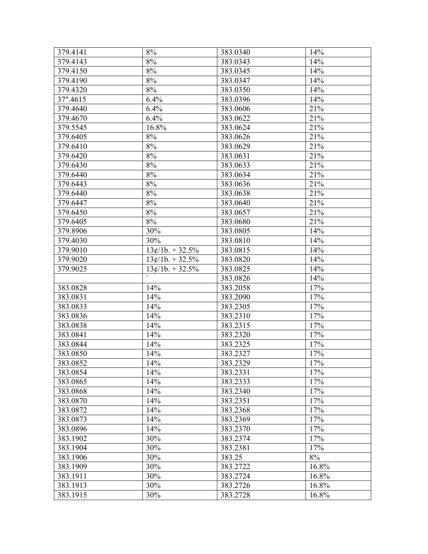| 379.4141 | $8\%$             | 383.0340 | 14%   |
|----------|-------------------|----------|-------|
| 379.4143 | 8%                | 383.0343 | 14%   |
| 379.4150 | 8%                | 383.0345 | 14%   |
| 379.4190 | 8%                | 383.0347 | 14%   |
| 379.4320 | 8%                | 383.0350 | 14%   |
| 37".4615 | 6.4%              | 383.0396 | 14%   |
| 379.4640 | 6.4%              | 383.0606 | 21%   |
| 379.4670 | 6.4%              | 383.0622 | 21%   |
| 379.5545 | 16.8%             | 383.0624 | 21%   |
| 379.6405 | 8%                | 383.0626 | 21%   |
| 379.6410 | 8%                | 383.0629 | 21%   |
| 379.6420 | 8%                | 383.0631 | 21%   |
| 379.6430 | $8\%$             | 383.0633 | 21%   |
| 379.6440 | 8%                | 383.0634 | 21%   |
| 379.6443 | 8%                | 383.0636 | 21%   |
| 379.6440 | 8%                | 383.0638 | 21%   |
| 379.6447 | 8%                | 383.0640 | 21%   |
| 379.6450 | 8%                | 383.0657 | 21%   |
| 379.6405 | 8%                | 383.0680 | 21%   |
| 379.8906 | 30%               | 383.0805 | 14%   |
| 379.4030 | 30%               | 383.0810 | 14%   |
| 379.9010 | $13¢/1b. + 32.5%$ | 383.0815 | 14%   |
| 379.9020 | $13¢/1b. + 32.5%$ | 383.0820 | 14%   |
| 379.9025 | $13¢/1b. + 32.5%$ | 383.0825 | 14%   |
|          |                   | 383.0826 | 14%   |
| 383.0828 | 14%               | 383.2058 | 17%   |
| 383.0831 | 14%               | 383.2090 | 17%   |
| 383.0833 | 14%               | 383.2305 | 17%   |
| 383.0836 | 14%               | 383.2310 | 17%   |
| 383.0838 | 14%               | 383.2315 | 17%   |
| 383.0841 | 14%               | 383.2320 | 17%   |
| 383.0844 | 14%               | 383.2325 | 17%   |
| 383.0850 | 14%               | 383.2327 | 17%   |
| 383.0852 | 14%               | 383.2329 | 17%   |
| 383.0854 | 14%               | 383.2331 | 17%   |
| 383.0865 | 14%               | 383.2333 | 17%   |
| 383.0868 | 14%               | 383.2340 | 17%   |
| 383.0870 | 14%               | 383.2351 | 17%   |
| 383.0872 | 14%               | 383.2368 | 17%   |
| 383.0873 | 14%               | 383.2369 | 17%   |
| 383.0896 | 14%               | 383.2370 | 17%   |
| 383.1902 | 30%               | 383.2374 | 17%   |
| 383.1904 | 30%               | 383.2381 | 17%   |
| 383.1906 | 30%               | 383.25   | $8\%$ |
| 383.1909 | 30%               | 383.2722 | 16.8% |
| 383.1911 | 30%               | 383.2724 | 16.8% |
| 383.1913 | 30%               | 383.2726 | 16.8% |
| 383.1915 | 30%               | 383.2728 | 16.8% |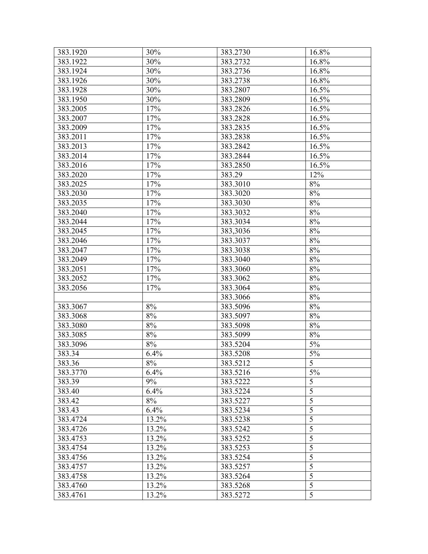| 383.1920 | 30%   | 383.2730 | 16.8%          |
|----------|-------|----------|----------------|
| 383.1922 | 30%   | 383.2732 | 16.8%          |
| 383.1924 | 30%   | 383.2736 | 16.8%          |
| 383.1926 | 30%   | 383.2738 | 16.8%          |
| 383.1928 | 30%   | 383.2807 | 16.5%          |
| 383.1950 | 30%   | 383.2809 | 16.5%          |
| 383.2005 | 17%   | 383.2826 | 16.5%          |
| 383.2007 | 17%   | 383.2828 | 16.5%          |
| 383.2009 | 17%   | 383.2835 | 16.5%          |
| 383.2011 | 17%   | 383.2838 | 16.5%          |
| 383.2013 | 17%   | 383.2842 | 16.5%          |
| 383.2014 | 17%   | 383.2844 | 16.5%          |
| 383.2016 | 17%   | 383.2850 | 16.5%          |
| 383.2020 | 17%   | 383.29   | 12%            |
| 383.2025 | 17%   | 383.3010 | $8\%$          |
| 383.2030 | 17%   | 383.3020 | $8\%$          |
| 383.2035 | 17%   | 383.3030 | $8\%$          |
| 383.2040 | 17%   | 383.3032 | $8\%$          |
| 383.2044 | 17%   | 383.3034 | $8\%$          |
| 383.2045 | 17%   | 383,3036 | 8%             |
| 383.2046 | 17%   | 383.3037 | 8%             |
| 383.2047 | 17%   | 383.3038 | $8\%$          |
| 383.2049 | 17%   | 383.3040 | $8\%$          |
| 383.2051 | 17%   | 383.3060 | $8\%$          |
| 383.2052 | 17%   | 383.3062 | $8\%$          |
| 383.2056 | 17%   | 383.3064 | $8\%$          |
|          |       | 383.3066 | $8\%$          |
| 383.3067 | $8\%$ | 383.5096 | $8\%$          |
| 383.3068 | 8%    | 383.5097 | 8%             |
| 383.3080 | $8\%$ | 383.5098 | $8\%$          |
| 383.3085 | $8\%$ | 383.5099 | $8\%$          |
| 383.3096 | 8%    | 383.5204 | $5\%$          |
| 383.34   | 6.4%  | 383.5208 | $5\%$          |
| 383.36   | $8\%$ | 383.5212 | $\overline{5}$ |
| 383.3770 | 6.4%  | 383.5216 | 5%             |
| 383.39   | 9%    | 383.5222 | 5              |
| 383.40   | 6.4%  | 383.5224 | $\overline{5}$ |
| 383.42   | 8%    | 383.5227 | $\overline{5}$ |
| 383.43   | 6.4%  | 383.5234 | $\overline{5}$ |
| 383.4724 | 13.2% | 383.5238 | 5              |
| 383.4726 | 13.2% | 383.5242 | $\overline{5}$ |
| 383.4753 | 13.2% | 383.5252 | $\overline{5}$ |
| 383.4754 | 13.2% | 383.5253 | $\overline{5}$ |
| 383.4756 | 13.2% | 383.5254 | $\overline{5}$ |
| 383.4757 | 13.2% | 383.5257 | $\overline{5}$ |
| 383.4758 | 13.2% | 383.5264 | $\overline{5}$ |
| 383.4760 | 13.2% | 383.5268 | $\overline{5}$ |
| 383.4761 | 13.2% | 383.5272 | 5              |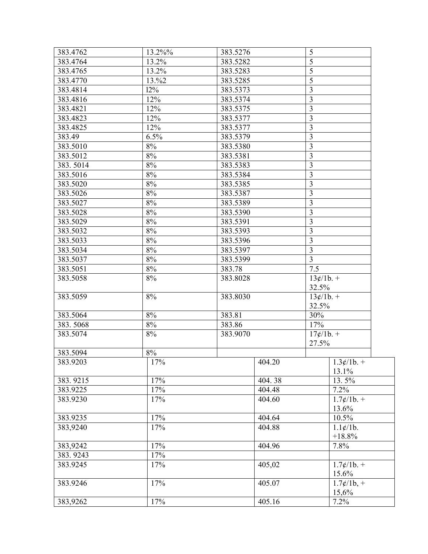| 383.4762 | 13.2%% | 383.5276 |        | 5                       |                                            |
|----------|--------|----------|--------|-------------------------|--------------------------------------------|
| 383.4764 | 13.2%  | 383.5282 |        | 5                       |                                            |
| 383.4765 | 13.2%  | 383.5283 |        | 5                       |                                            |
| 383.4770 | 13.%2  | 383.5285 |        | 5                       |                                            |
| 383.4814 | 12%    | 383.5373 |        | 3                       |                                            |
| 383.4816 | 12%    | 383.5374 |        | 3                       |                                            |
| 383.4821 | 12%    | 383.5375 |        | $\overline{\mathbf{3}}$ |                                            |
| 383.4823 | 12%    | 383.5377 |        | $\mathfrak{Z}$          |                                            |
| 383.4825 | 12%    | 383.5377 |        | $\mathfrak{Z}$          |                                            |
| 383.49   | 6.5%   | 383.5379 |        | 3                       |                                            |
| 383.5010 | $8\%$  | 383.5380 |        | $\overline{3}$          |                                            |
| 383.5012 | $8\%$  | 383.5381 |        | $\mathfrak{Z}$          |                                            |
| 383.5014 | $8\%$  | 383.5383 |        | $\overline{\mathbf{3}}$ |                                            |
| 383.5016 | $8\%$  | 383.5384 |        | $\overline{\mathbf{3}}$ |                                            |
| 383.5020 | $8\%$  | 383.5385 |        | $\overline{3}$          |                                            |
| 383.5026 | $8\%$  | 383.5387 |        | $\mathfrak{Z}$          |                                            |
| 383.5027 | $8\%$  | 383.5389 |        | $\mathfrak{Z}$          |                                            |
| 383.5028 | $8\%$  | 383.5390 |        | 3                       |                                            |
| 383.5029 | 8%     | 383.5391 |        | $\overline{\mathbf{3}}$ |                                            |
| 383.5032 | 8%     | 383.5393 |        | $\overline{\mathbf{3}}$ |                                            |
| 383.5033 | 8%     | 383.5396 |        | $\overline{\mathbf{3}}$ |                                            |
| 383.5034 | $8\%$  | 383.5397 |        | $\overline{\mathbf{3}}$ |                                            |
| 383.5037 | $8\%$  | 383.5399 |        | 3                       |                                            |
| 383.5051 | $8\%$  | 383.78   |        | 7.5                     |                                            |
| 383.5058 | 8%     | 383.8028 |        | $13¢/1b. +$             |                                            |
|          |        |          |        | 32.5%                   |                                            |
| 383.5059 | 8%     | 383.8030 |        | $13¢/1b. +$             |                                            |
|          |        |          |        | 32.5%                   |                                            |
| 383.5064 | 8%     | 383.81   |        | 30%                     |                                            |
| 383.5068 | $8\%$  | 383.86   |        | 17%                     |                                            |
| 383.5074 | 8%     | 383.9070 |        | $17¢/1b. +$             |                                            |
|          |        |          |        | 27.5%                   |                                            |
| 383.5094 | $8\%$  |          |        |                         |                                            |
| 383.9203 | 17%    |          | 404.20 |                         | $1.3¢/1b. +$<br>13.1%                      |
| 383.9215 | 17%    |          | 404.38 |                         | 13.5%                                      |
| 383.9225 | 17%    |          | 404.48 |                         | 7.2%                                       |
| 383.9230 | 17%    |          | 404.60 |                         | $1.7 \frac{\cancel{c}}{1}$ . +             |
|          |        |          |        |                         | 13.6%                                      |
| 383.9235 | 17%    |          | 404.64 |                         | 10.5%                                      |
| 383,9240 | 17%    |          | 404.88 |                         | $1.1 \times 10$ .                          |
|          |        |          |        |                         | $+18.8%$                                   |
| 383,9242 | 17%    |          | 404.96 |                         | 7.8%                                       |
| 383.9243 | 17%    |          |        |                         |                                            |
| 383.9245 | 17%    |          | 405,02 |                         | $1.7 \frac{\cancel{c}}{1}$ . +             |
|          |        |          |        |                         | 15.6%                                      |
| 383.9246 | 17%    |          | 405.07 |                         | $1.7 \frac{\cancel{0}}{1.7} = \frac{1}{2}$ |
|          |        |          |        |                         | 15,6%                                      |
| 383,9262 | 17%    |          | 405.16 |                         | 7.2%                                       |
|          |        |          |        |                         |                                            |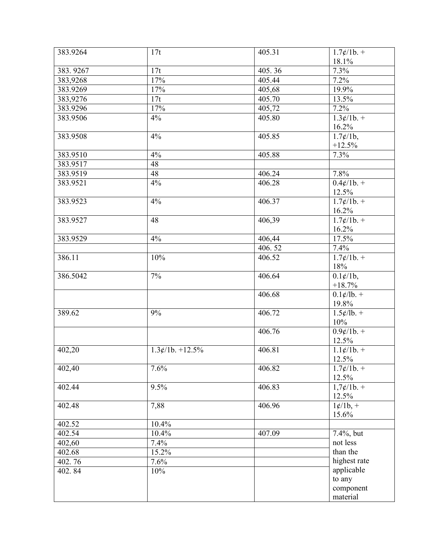| 383.9264 | 17t               | 405.31              | $1.7 \frac{\cancel{c}}{1}$ . +        |
|----------|-------------------|---------------------|---------------------------------------|
|          |                   |                     | 18.1%                                 |
| 383.9267 | 17t               | 405.36              | 7.3%                                  |
| 383,9268 | 17%               | $\overline{405}.44$ | 7.2%                                  |
| 383.9269 | 17%               | 405,68              | 19.9%                                 |
| 383,9276 | 17t               | 405.70              | 13.5%                                 |
| 383.9296 | 17%               | 405,72              | 7.2%                                  |
| 383.9506 | 4%                | 405.80              | $1.3¢/1b. +$                          |
|          |                   |                     | 16.2%                                 |
| 383.9508 | 4%                | 405.85              | $\overline{1.7\frac{\cancel{c}}{1b}}$ |
|          |                   |                     | $+12.5%$                              |
| 383.9510 | 4%                | 405.88              | 7.3%                                  |
| 383.9517 | 48                |                     |                                       |
| 383.9519 | 48                | 406.24              | 7.8%                                  |
| 383.9521 | 4%                | 406.28              | $0.4¢/1b. +$                          |
|          |                   |                     | 12.5%                                 |
| 383.9523 | 4%                | 406.37              | $1.7 \frac{\cancel{0}}{1.1}$          |
|          |                   |                     | 16.2%                                 |
| 383.9527 | 48                | 406,39              | $1.7 \frac{\cancel{c}}{1}$ . +        |
|          |                   |                     | 16.2%                                 |
| 383.9529 | 4%                | 406,44              | 17.5%                                 |
|          |                   | 406.52              | 7.4%                                  |
| 386.11   | 10%               | 406.52              | $1.7 \frac{\cancel{c}}{1}$ . +        |
|          |                   |                     | 18%                                   |
| 386.5042 | 7%                | 406.64              | $0.1 \frac{\ell}{16}$ ,               |
|          |                   |                     | $+18.7%$                              |
|          |                   | 406.68              | $0.1 \frac{\cancel{c}}{10}$ . +       |
|          |                   |                     | 19.8%                                 |
| 389.62   | 9%                | 406.72              | $1.5 \frac{\cancel{e}}{1}$ . +        |
|          |                   |                     | 10%                                   |
|          |                   | 406.76              | $0.9 \frac{\cancel{0}}{10} +$         |
|          |                   |                     | 12.5%                                 |
| 402,20   | $1.3¢/1b. +12.5%$ | 406.81              | $1.1 \frac{\cancel{c}}{1}$ . +        |
|          |                   |                     | 12.5%                                 |
| 402,40   | 7.6%              | 406.82              | $1.7 \frac{\cancel{c}}{1}$ . +        |
|          |                   |                     | 12.5%                                 |
| 402.44   | 9.5%              | 406.83              | $1,7¢/1b. +$                          |
|          |                   |                     | 12.5%                                 |
| 402.48   | 7,88              | 406.96              | $1¢/1b, +$                            |
|          |                   |                     | 15.6%                                 |
| 402.52   | 10.4%             |                     |                                       |
| 402.54   | 10.4%             | 407.09              | 7.4%, but                             |
| 402,60   | 7.4%              |                     | not less                              |
| 402.68   | 15.2%             |                     | than the                              |
| 402.76   | 7.6%              |                     | highest rate                          |
| 402.84   | 10%               |                     | applicable                            |
|          |                   |                     | to any                                |
|          |                   |                     | component                             |
|          |                   |                     | material                              |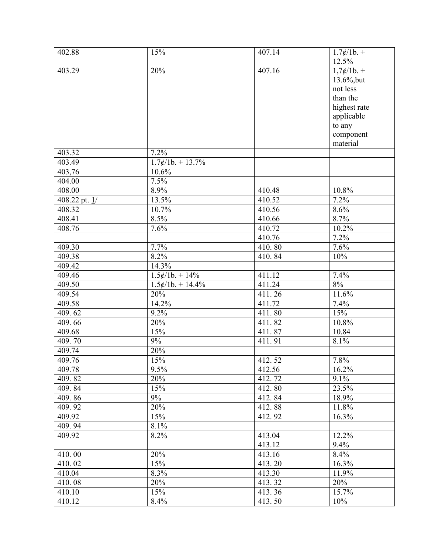| 402.88               | 15%                | 407.14 | $1.7 \frac{\cancel{c}}{1}$ . + |
|----------------------|--------------------|--------|--------------------------------|
|                      |                    |        | 12.5%                          |
| 403.29               | 20%                | 407.16 | $1,7¢/1b. +$                   |
|                      |                    |        | 13.6%, but                     |
|                      |                    |        | not less                       |
|                      |                    |        | than the                       |
|                      |                    |        | highest rate                   |
|                      |                    |        | applicable                     |
|                      |                    |        | to any                         |
|                      |                    |        | component                      |
|                      |                    |        | material                       |
| 403.32               | 7.2%               |        |                                |
| $\overline{403}$ .49 | $1.7¢/1b. + 13.7%$ |        |                                |
| 403,76               | 10.6%              |        |                                |
| 404.00               | 7.5%               |        |                                |
| 408.00               | 8.9%               | 410.48 | 10.8%                          |
| 408.22 pt. $1/$      | 13.5%              | 410.52 | 7.2%                           |
| 408.32               | 10.7%              | 410.56 | 8.6%                           |
| 408.41               | 8.5%               | 410.66 | 8.7%                           |
| 408.76               | 7.6%               | 410.72 | 10.2%                          |
|                      |                    | 410.76 | 7.2%                           |
| 409.30               | 7.7%               | 410.80 | 7.6%                           |
| 409.38               | 8.2%               | 410.84 | 10%                            |
| 409.42               | 14.3%              |        |                                |
| 409.46               | $1.5¢/1b. + 14%$   | 411.12 | 7.4%                           |
| 409.50               | $1.5¢/1b. + 14.4%$ | 411.24 | 8%                             |
| 409.54               | 20%                | 411.26 | 11.6%                          |
| $\overline{409.58}$  | 14.2%              | 411.72 | 7.4%                           |
| 409.62               | 9.2%               | 411.80 | 15%                            |
| 409.66               | 20%                | 411.82 | 10.8%                          |
| 409.68               | 15%                | 411.87 | 10.84                          |
| 409.70               | 9%                 | 411.91 | 8.1%                           |
| 409.74               | 20%                |        |                                |
| 409.76               | 15%                | 412.52 | 7.8%                           |
| 409.78               | 9.5%               | 412.56 | 16.2%                          |
| 409.82               | 20%                | 412.72 | 9.1%                           |
| 409.84               | 15%                | 412.80 | 23.5%                          |
| 409.86               | 9%                 | 412.84 | 18.9%                          |
| 409.92               | 20%                | 412.88 | 11.8%                          |
| 409.92               | 15%                | 412.92 | 16.3%                          |
| 409.94               | 8.1%               |        |                                |
| 409.92               | 8.2%               | 413.04 | 12.2%                          |
|                      |                    | 413.12 | 9.4%                           |
| 410.00               | 20%                | 413.16 | 8.4%                           |
| 410.02               | 15%                | 413.20 | 16.3%                          |
| 410.04               | 8.3%               | 413.30 | 11.9%                          |
| 410.08               | 20%                | 413.32 | 20%                            |
| 410.10               | 15%                | 413.36 | 15.7%                          |
| 410.12               | 8.4%               | 413.50 | 10%                            |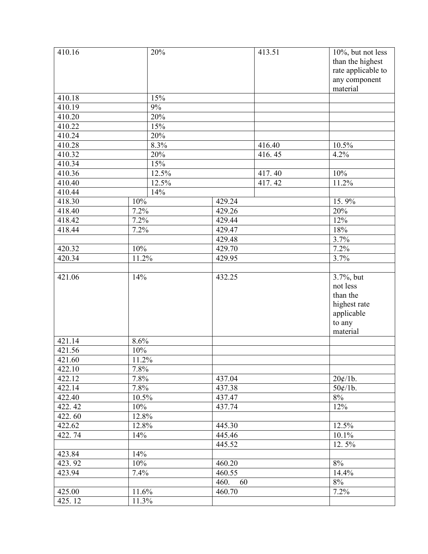| 410.16 | 20%   |            | 413.51 | 10%, but not less  |
|--------|-------|------------|--------|--------------------|
|        |       |            |        | than the highest   |
|        |       |            |        | rate applicable to |
|        |       |            |        | any component      |
|        |       |            |        | material           |
| 410.18 | 15%   |            |        |                    |
| 410.19 | 9%    |            |        |                    |
| 410.20 | 20%   |            |        |                    |
| 410.22 | 15%   |            |        |                    |
| 410.24 | 20%   |            |        |                    |
| 410.28 | 8.3%  |            | 416.40 | 10.5%              |
| 410.32 | 20%   |            | 416.45 | 4.2%               |
| 410.34 | 15%   |            |        |                    |
| 410.36 | 12.5% |            | 417.40 | 10%                |
| 410.40 | 12.5% |            | 417.42 | 11.2%              |
| 410.44 | 14%   |            |        |                    |
| 418.30 | 10%   | 429.24     |        | 15.9%              |
| 418.40 | 7.2%  | 429.26     |        | 20%                |
| 418.42 | 7.2%  | 429.44     |        | 12%                |
| 418.44 | 7.2%  | 429.47     |        | 18%                |
|        |       | 429.48     |        | 3.7%               |
| 420.32 | 10%   | 429.70     |        | 7.2%               |
| 420.34 | 11.2% | 429.95     |        | 3.7%               |
|        |       |            |        |                    |
| 421.06 | 14%   | 432.25     |        | 3.7%, but          |
|        |       |            |        | not less           |
|        |       |            |        | than the           |
|        |       |            |        | highest rate       |
|        |       |            |        | applicable         |
|        |       |            |        | to any             |
|        |       |            |        | material           |
| 421.14 | 8.6%  |            |        |                    |
| 421.56 | 10%   |            |        |                    |
| 421.60 | 11.2% |            |        |                    |
| 422.10 | 7.8%  |            |        |                    |
| 422.12 | 7.8%  | 437.04     |        | 20¢/1b.            |
| 422.14 | 7.8%  | 437.38     |        | $50¢/1b$ .         |
| 422.40 | 10.5% | 437.47     |        | $8\%$              |
| 422.42 | 10%   | 437.74     |        | 12%                |
| 422.60 | 12.8% |            |        |                    |
| 422.62 | 12.8% | 445.30     |        | 12.5%              |
| 422.74 | 14%   | 445.46     |        | 10.1%              |
|        |       | 445.52     |        | 12.5%              |
| 423.84 | 14%   |            |        |                    |
| 423.92 | 10%   | 460.20     |        | 8%                 |
| 423.94 | 7.4%  | 460.55     |        | 14.4%              |
|        |       | 460.<br>60 |        | $8\%$              |
| 425.00 | 11.6% | 460.70     |        | 7.2%               |
| 425.12 | 11.3% |            |        |                    |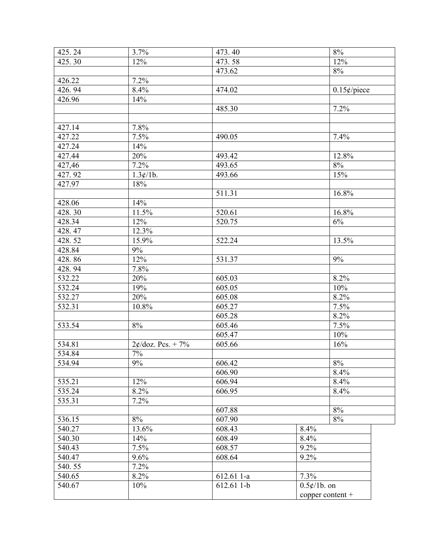| 425.24 | 3.7%                | 473.40     | $8\%$                            |
|--------|---------------------|------------|----------------------------------|
| 425.30 | 12%                 | 473.58     | $\frac{12}{6}$                   |
|        |                     | 473.62     | $8\%$                            |
| 426.22 | $\frac{1}{7.2\%}$   |            |                                  |
| 426.94 | 8.4%                | 474.02     | $0.15$ ¢/piece                   |
| 426.96 | 14%                 |            |                                  |
|        |                     | 485.30     | 7.2%                             |
|        |                     |            |                                  |
| 427.14 | 7.8%                |            |                                  |
| 427.22 | 7.5%                | 490.05     | 7.4%                             |
| 427.24 | 14%                 |            |                                  |
| 427.44 | 20%                 | 493.42     | 12.8%                            |
| 427,46 | 7.2%                | 493.65     | 8%                               |
| 427.92 | 1.3¢/1b.            | 493.66     | 15%                              |
| 427.97 | 18%                 |            |                                  |
|        |                     | 511.31     | 16.8%                            |
| 428.06 | 14%                 |            |                                  |
| 428.30 | 11.5%               | 520.61     | 16.8%                            |
| 428.34 | 12%                 | 520.75     | 6%                               |
| 428.47 | 12.3%               |            |                                  |
| 428.52 | 15.9%               | 522.24     | 13.5%                            |
| 428.84 | 9%                  |            |                                  |
| 428.86 | 12%                 | 531.37     | 9%                               |
| 428.94 | 7.8%                |            |                                  |
| 532.22 | 20%                 | 605.03     | 8.2%                             |
| 532.24 | 19%                 | 605.05     | 10%                              |
| 532.27 | 20%                 | 605.08     | 8.2%                             |
| 532.31 | 10.8%               | 605.27     | 7.5%                             |
|        |                     | 605.28     | 8.2%                             |
| 533.54 | 8%                  | 605.46     | 7.5%                             |
|        |                     | 605.47     | 10%                              |
| 534.81 | $2¢/doz$ . Pcs. +7% | 605.66     | 16%                              |
| 534.84 | $7\%$               |            |                                  |
| 534.94 | $9\%$               | 606.42     | $8\%$                            |
|        |                     | 606.90     | 8.4%                             |
| 535.21 | 12%                 | 606.94     | 8.4%                             |
| 535.24 | 8.2%                | 606.95     | 8.4%                             |
| 535.31 | 7.2%                |            |                                  |
|        |                     | 607.88     | 8%                               |
| 536.15 | $8\%$               | 607.90     | 8%                               |
| 540.27 | 13.6%               | 608.43     | 8.4%                             |
| 540.30 | 14%                 | 608.49     | 8.4%                             |
| 540.43 | 7.5%                | 608.57     | 9.2%                             |
| 540.47 | 9.6%                | 608.64     | 9.2%                             |
| 540.55 | 7.2%                |            |                                  |
| 540.65 | 8.2%                | 612.61 1-a | 7.3%                             |
| 540.67 | 10%                 | 612.61 1-b | $0.5 \frac{\cancel{e}}{1}$ b. on |
|        |                     |            | copper content $+$               |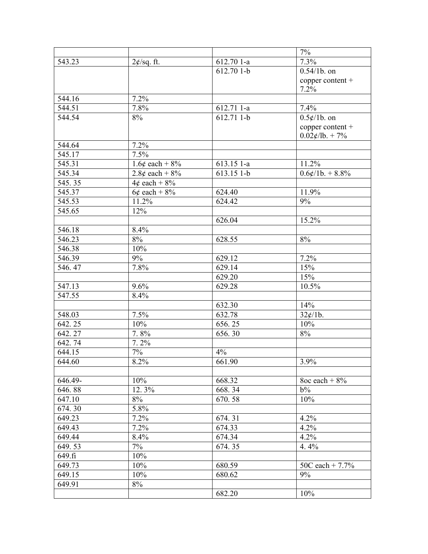|         |                     |             | 7%                                 |
|---------|---------------------|-------------|------------------------------------|
| 543.23  | $2\not\in$ /sq. ft. | 612.70 1-a  | 7.3%                               |
|         |                     | 612.70 1-b  | $0.54/1b.$ on                      |
|         |                     |             | copper content +                   |
|         |                     |             | 7.2%                               |
| 544.16  | 7.2%                |             |                                    |
| 544.51  | 7.8%                | 612.71 1-a  | 7.4%                               |
| 544.54  | 8%                  | $612.711-b$ | $0.5 \frac{\cancel{e}}{1}$ b. on   |
|         |                     |             | copper content +                   |
|         |                     |             | $0.02 \frac{\cancel{c}}{lb} + 7\%$ |
| 544.64  | 7.2%                |             |                                    |
| 545.17  | 7.5%                |             |                                    |
| 545.31  | $1.6¢$ each + $8\%$ | 613.15 1-a  | $\overline{11.2\%}$                |
| 545.34  | 2.8¢ each + $8\%$   | 613.15 1-b  | $0.6¢/1b. + 8.8%$                  |
| 545.35  | $4¢$ each + $8\%$   |             |                                    |
| 545.37  | $6¢$ each + $8\%$   | 624.40      | 11.9%                              |
| 545.53  | 11.2%               | 624.42      | 9%                                 |
| 545.65  | 12%                 |             |                                    |
|         |                     | 626.04      | 15.2%                              |
| 546.18  | 8.4%                |             |                                    |
| 546.23  | 8%                  | 628.55      | 8%                                 |
| 546.38  | 10%                 |             |                                    |
| 546.39  | 9%                  | 629.12      | 7.2%                               |
| 546.47  | 7.8%                | 629.14      | 15%                                |
|         |                     | 629.20      | 15%                                |
| 547.13  | 9.6%                | 629.28      | 10.5%                              |
| 547.55  | 8.4%                |             |                                    |
|         |                     | 632.30      | 14%                                |
| 548.03  | 7.5%                | 632.78      | $32¢/1b$ .                         |
| 642.25  | 10%                 | 656.25      | 10%                                |
| 642.27  | 7.8%                | 656.30      | 8%                                 |
| 642.74  | $7.2\%$             |             |                                    |
| 644.15  | $7\%$               | 4%          |                                    |
| 644.60  | 8.2%                | 661.90      | 3.9%                               |
|         |                     |             |                                    |
| 646.49- | 10%                 | 668.32      | 8oc each $+8\%$                    |
| 646.88  | 12.3%               | 668.34      | $b\%$                              |
| 647.10  | 8%                  | 670.58      | 10%                                |
| 674.30  | 5.8%                |             |                                    |
| 649.23  | 7.2%                | 674.31      | 4.2%                               |
| 649.43  | 7.2%                | 674.33      | 4.2%                               |
| 649.44  | 8.4%                | 674.34      | 4.2%                               |
| 649.53  | $7\%$               | 674.35      | 4.4%                               |
| 649.fi  | 10%                 |             |                                    |
| 649.73  | 10%                 | 680.59      | 50C each + $7.7\%$                 |
| 649.15  | 10%                 | 680.62      | 9%                                 |
| 649.91  | 8%                  |             |                                    |
|         |                     | 682.20      | 10%                                |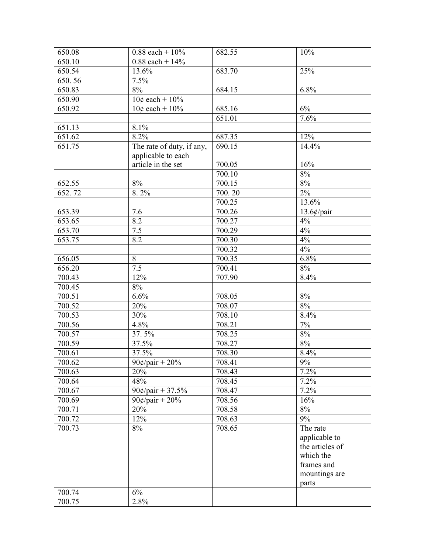| 650.08 | $0.88$ each + $10\%$                            | 682.55              | 10%                                                                                               |
|--------|-------------------------------------------------|---------------------|---------------------------------------------------------------------------------------------------|
| 650.10 | $0.88$ each + $14\%$                            |                     |                                                                                                   |
| 650.54 | 13.6%                                           | 683.70              | 25%                                                                                               |
| 650.56 | 7.5%                                            |                     |                                                                                                   |
| 650.83 | 8%                                              | 684.15              | 6.8%                                                                                              |
| 650.90 | $10¢$ each + $10\%$                             |                     |                                                                                                   |
| 650.92 | $10¢$ each + $10\%$                             | 685.16              | $6\%$                                                                                             |
|        |                                                 | 651.01              | 7.6%                                                                                              |
| 651.13 | 8.1%                                            |                     |                                                                                                   |
| 651.62 | 8.2%                                            | 687.35              | 12%                                                                                               |
| 651.75 | The rate of duty, if any,<br>applicable to each | $\overline{690.15}$ | 14.4%                                                                                             |
|        | article in the set                              | 700.05              | 16%                                                                                               |
|        |                                                 | 700.10              | $8\%$                                                                                             |
| 652.55 | $8\%$                                           | 700.15              | 8%                                                                                                |
| 652.72 | 8.2%                                            | 700.20              | $2\%$                                                                                             |
|        |                                                 | 700.25              | $13.\overline{6\%}$                                                                               |
| 653.39 | 7.6                                             | 700.26              | $13.6$ ¢/pair                                                                                     |
| 653.65 | 8.2                                             | 700.27              | 4%                                                                                                |
| 653.70 | 7.5                                             | $\overline{700.29}$ | 4%                                                                                                |
| 653.75 | 8.2                                             | 700.30              | 4%                                                                                                |
|        |                                                 | 700.32              | 4%                                                                                                |
| 656.05 | 8                                               | 700.35              | 6.8%                                                                                              |
| 656.20 | $\overline{7.5}$                                | 700.41              | 8%                                                                                                |
| 700.43 | $12\%$                                          | 707.90              | 8.4%                                                                                              |
| 700.45 | $8\%$                                           |                     |                                                                                                   |
| 700.51 | 6.6%                                            | 708.05              | 8%                                                                                                |
| 700.52 | 20%                                             | 708.07              | 8%                                                                                                |
| 700.53 | 30%                                             | 708.10              | 8.4%                                                                                              |
| 700.56 | 4.8%                                            | 708.21              | $7\%$                                                                                             |
| 700.57 | 37.5%                                           | 708.25              | $8\%$                                                                                             |
| 700.59 | 37.5%                                           | 708.27              | $8\%$                                                                                             |
| 700.61 | 37.5%                                           | 708.30              | 8.4%                                                                                              |
| 700.62 | $90¢$ /pair + 20%                               | 708.41              | 9%                                                                                                |
| 700.63 | 20%                                             | 708.43              | 7.2%                                                                                              |
| 700.64 | 48%                                             | 708.45              | 7.2%                                                                                              |
| 700.67 | $90¢/pair + 37.5%$                              | 708.47              | 7.2%                                                                                              |
| 700.69 | $90¢/pair + 20%$                                | 708.56              | 16%                                                                                               |
| 700.71 | 20%                                             | 708.58              | 8%                                                                                                |
| 700.72 | 12%                                             | 708.63              | 9%                                                                                                |
| 700.73 | 8%                                              | 708.65              | The rate<br>applicable to<br>the articles of<br>which the<br>frames and<br>mountings are<br>parts |
| 700.74 | 6%                                              |                     |                                                                                                   |
| 700.75 | 2.8%                                            |                     |                                                                                                   |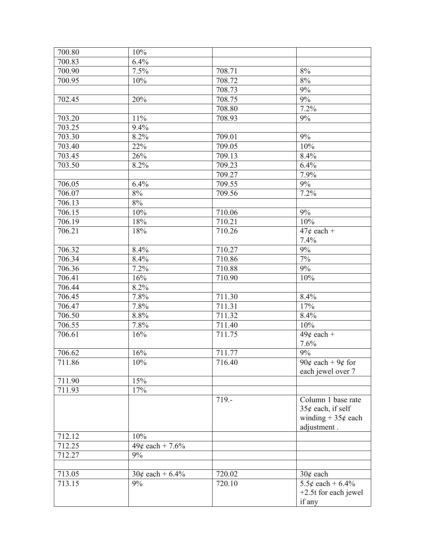| 700.80           | 10%                     |                     |                                                                                   |
|------------------|-------------------------|---------------------|-----------------------------------------------------------------------------------|
| 700.83           | 6.4%                    |                     |                                                                                   |
| 700.90           | 7.5%                    | 708.71              | $8\%$                                                                             |
| 700.95           | 10%                     | 708.72              | 8%                                                                                |
|                  |                         | 708.73              | $9\%$                                                                             |
| 702.45           | 20%                     | 708.75              | 9%                                                                                |
|                  |                         | 708.80              | 7.2%                                                                              |
| 703.20           | 11%                     | 708.93              | 9%                                                                                |
| 703.25           | 9.4%                    |                     |                                                                                   |
| 703.30           | 8.2%                    | 709.01              | $9\%$                                                                             |
| 703.40           | 22%                     | 709.05              | 10%                                                                               |
| 703.45           | 26%                     | 709.13              | 8.4%                                                                              |
| 703.50           | 8.2%                    | 709.23              | 6.4%                                                                              |
|                  |                         | 709.27              | 7.9%                                                                              |
| 706.05           | 6.4%                    | 709.55              | $9\%$                                                                             |
| 706.07           | 8%                      | 709.56              | 7.2%                                                                              |
| 706.13           | $8\%$                   |                     |                                                                                   |
| 706.15           | 10%                     | 710.06              | $9\%$                                                                             |
| 706.19           | 18%                     | 710.21              | 10%                                                                               |
| 706.21           | 18%                     | 710.26              | $47¢$ each +                                                                      |
|                  |                         |                     | 7.4%                                                                              |
| 706.32           | 8.4%                    | 710.27              | 9%                                                                                |
| 706.34           | 8.4%                    | 710.86              | $7\%$                                                                             |
| 706.36           | 7.2%                    | 710.88              | 9%                                                                                |
| 706.41           | 16%                     | 710.90              | 10%                                                                               |
| 706.44           | 8.2%                    |                     |                                                                                   |
| 706.45           | 7.8%                    | 711.30              | 8.4%                                                                              |
| 706.47           | 7.8%                    | 711.31              | 17%                                                                               |
| 706.50           | 8.8%                    | $\overline{711}.32$ | 8.4%                                                                              |
| 706.55           | 7.8%                    | 711.40              | 10%                                                                               |
| 706.61           | 16%                     | 711.75              | $49¢$ each +                                                                      |
|                  |                         |                     | 7.6%                                                                              |
| 706.62           | 16%                     | 711.77              | $9\%$                                                                             |
| 711.86           | $10\%$                  | 716.40              | 90¢ each + 9¢ for<br>each jewel over 7                                            |
| 711.90           | 15%                     |                     |                                                                                   |
| 711.93           | 17%                     |                     |                                                                                   |
|                  |                         | $719. -$            | Column 1 base rate<br>35 $¢$ each, if self<br>winding + $35¢$ each<br>adjustment. |
| 712.12           | 10%                     |                     |                                                                                   |
| 712.25<br>712.27 | $49¢$ each + 7.6%<br>9% |                     |                                                                                   |
|                  |                         |                     |                                                                                   |
| 713.05           | $30¢$ each + 6.4%       | 720.02              | $30¢$ each                                                                        |
| 713.15           | 9%                      | 720.10              | 5.5¢ each + $6.4\%$<br>$+2.5t$ for each jewel<br>if any                           |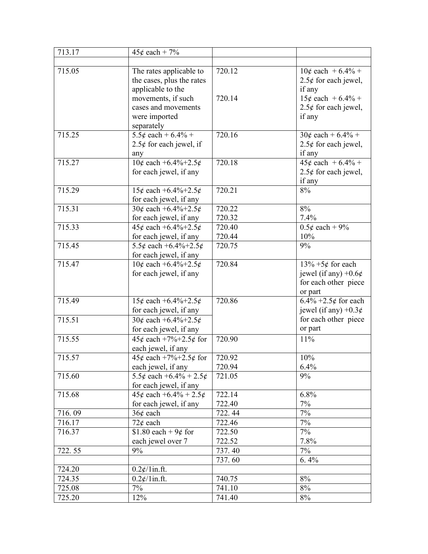| 713.17 | $45¢$ each + 7%                         |        |                            |
|--------|-----------------------------------------|--------|----------------------------|
|        |                                         |        |                            |
| 715.05 | The rates applicable to                 | 720.12 | $10¢$ each + 6.4% +        |
|        | the cases, plus the rates               |        | $2.5¢$ for each jewel,     |
|        | applicable to the                       |        | if any                     |
|        | movements, if such                      | 720.14 | $15¢$ each + 6.4% +        |
|        | cases and movements                     |        | $2.5¢$ for each jewel,     |
|        | were imported                           |        | if any                     |
|        | separately                              |        |                            |
| 715.25 | $5.5¢$ each + $6.4\%$ +                 | 720.16 | $30¢$ each + 6.4% +        |
|        | $2.5¢$ for each jewel, if               |        | $2.5¢$ for each jewel,     |
|        | any                                     |        | if any                     |
| 715.27 | $10¢$ each +6.4%+2.5¢                   | 720.18 | $45¢$ each + 6.4% +        |
|        | for each jewel, if any                  |        | $2.5¢$ for each jewel,     |
|        |                                         |        | if any                     |
| 715.29 | 15¢ each $+6.4\%+2.5\phi$               | 720.21 | 8%                         |
|        | for each jewel, if any                  |        |                            |
| 715.31 | $30¢$ each +6.4%+2.5¢                   | 720.22 | 8%                         |
|        | for each jewel, if any                  | 720.32 | 7.4%                       |
| 715.33 | 45¢ each +6.4%+2.5¢                     | 720.40 | $0.5¢$ each + 9%           |
|        | for each jewel, if any                  | 720.44 | 10%                        |
| 715.45 | 5.5¢ each +6.4%+2.5¢                    | 720.75 | 9%                         |
|        | for each jewel, if any                  |        |                            |
| 715.47 | $10¢$ each +6.4%+2.5¢                   | 720.84 | $13\% + 5\phi$ for each    |
|        | for each jewel, if any                  |        | jewel (if any) $+0.6¢$     |
|        |                                         |        | for each other piece       |
|        |                                         |        | or part                    |
| 715.49 | $\sqrt{15 \mathcal{L}}$ each +6.4%+2.5¢ | 720.86 | $6.4\% + 2.5\phi$ for each |
|        | for each jewel, if any                  |        | jewel (if any) $+0.3¢$     |
| 715.51 | 30¢ each +6.4%+2.5¢                     |        | for each other piece       |
|        | for each jewel, if any                  |        | or part                    |
| 715.55 | 45¢ each +7%+2.5¢ for                   | 720.90 | 11%                        |
|        | each jewel, if any                      |        |                            |
| 715.57 | 45¢ each +7%+2.5¢ for                   | 720.92 | 10%                        |
|        | each jewel, if any                      | 720.94 | 6.4%                       |
| 715.60 | 5.5¢ each +6.4% + 2.5¢                  | 721.05 | 9%                         |
|        | for each jewel, if any                  |        |                            |
| 715.68 | $45¢$ each $+6.4\% + 2.5¢$              | 722.14 | 6.8%                       |
|        | for each jewel, if any                  | 722.40 | $7\%$                      |
| 716.09 | $36¢$ each                              | 722.44 | $7\%$                      |
| 716.17 | $72¢$ each                              | 722.46 | $7\%$                      |
| 716.37 | \$1.80 each + $\frac{9}{6}$ for         | 722.50 | $7\%$                      |
|        | each jewel over 7                       | 722.52 | 7.8%                       |
| 722.55 | 9%                                      | 737.40 | $7\%$                      |
|        |                                         | 737.60 | 6.4%                       |
| 724.20 | $0.2 \frac{\ell}{\ln \pi}$ .ft.         |        |                            |
| 724.35 | $0.2 \frac{\ell}{1}$ in.ft.             | 740.75 | 8%                         |
| 725.08 | 7%                                      | 741.10 | $8\%$                      |
| 725.20 | 12%                                     | 741.40 | $8\%$                      |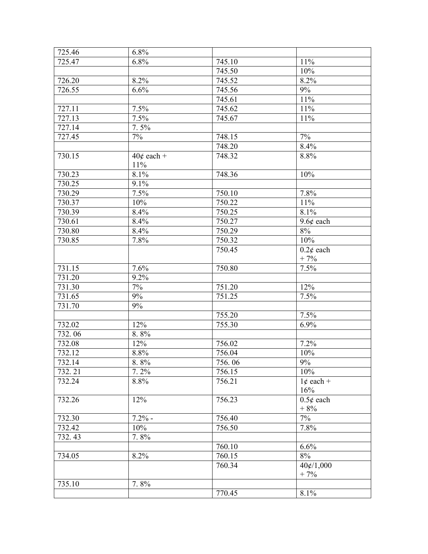| 725.46 | 6.8%         |                      |                |
|--------|--------------|----------------------|----------------|
| 725.47 | 6.8%         | 745.10               | 11%            |
|        |              | 745.50               | 10%            |
| 726.20 | 8.2%         | 745.52               | 8.2%           |
| 726.55 | 6.6%         | 745.56               | $9\%$          |
|        |              | 745.61               | 11%            |
| 727.11 | 7.5%         | $\overline{7}$ 45.62 | 11%            |
| 727.13 | 7.5%         | 745.67               | 11%            |
| 727.14 | 7.5%         |                      |                |
| 727.45 | 7%           | 748.15               | $7\%$          |
|        |              | 748.20               | 8.4%           |
| 730.15 | $40¢$ each + | 748.32               | 8.8%           |
|        | $11\%$       |                      |                |
| 730.23 | 8.1%         | 748.36               | 10%            |
| 730.25 | 9.1%         |                      |                |
| 730.29 | 7.5%         | 750.10               | 7.8%           |
| 730.37 | 10%          | 750.22               | 11%            |
| 730.39 | 8.4%         | 750.25               | 8.1%           |
| 730.61 | 8.4%         | 750.27               | $9.6¢$ each    |
| 730.80 | 8.4%         | 750.29               | $8\%$          |
| 730.85 | 7.8%         | 750.32               | 10%            |
|        |              | 750.45               | $0.2\ell$ each |
|        |              |                      | $+7%$          |
| 731.15 | 7.6%         | 750.80               | 7.5%           |
| 731.20 | 9.2%         |                      |                |
| 731.30 | 7%           | 751.20               | 12%            |
| 731.65 | 9%           | 751.25               | 7.5%           |
| 731.70 | 9%           |                      |                |
|        |              | 755.20               | 7.5%           |
| 732.02 | 12%          | 755.30               | 6.9%           |
| 732.06 | 8.8%         |                      |                |
| 732.08 | 12%          | 756.02               | 7.2%           |
| 732.12 | 8.8%         | 756.04               | 10%            |
| 732.14 | 8.8%         | 756.06               | $9\%$          |
| 732.21 | 7.2%         | 756.15               | 10%            |
| 732.24 | 8.8%         | 756.21               | $1¢$ each +    |
|        |              |                      | 16%            |
| 732.26 | 12%          | 756.23               | $0.5\phi$ each |
|        |              |                      | $+8%$          |
| 732.30 | $7.2%$ -     | 756.40               | 7%             |
| 732.42 | 10%          | 756.50               | 7.8%           |
| 732.43 | 7.8%         |                      |                |
|        |              | 760.10               | 6.6%           |
| 734.05 | 8.2%         | 760.15               | 8%             |
|        |              | 760.34               | 40¢/1,000      |
|        |              |                      | $+7%$          |
| 735.10 | 7.8%         |                      |                |
|        |              | 770.45               | 8.1%           |